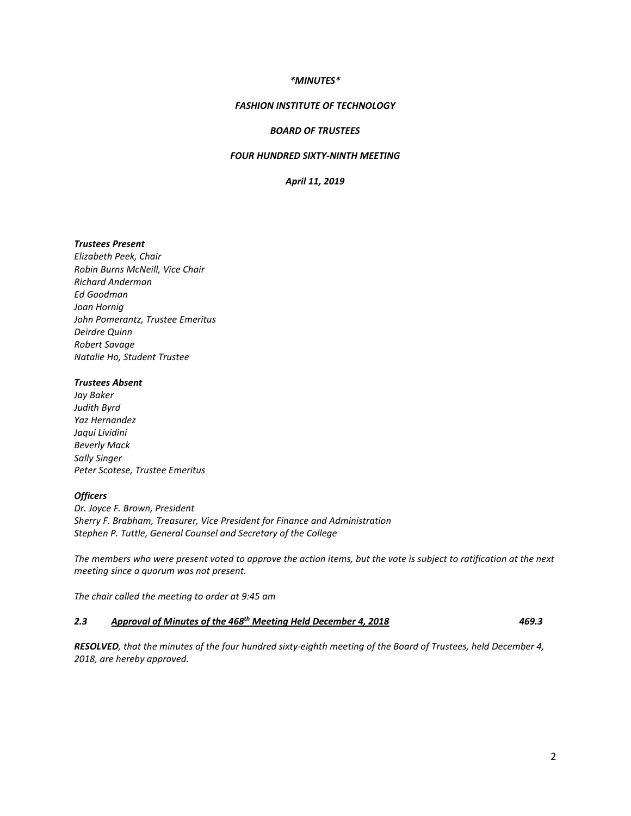### *\*MINUTES\**

#### *FASHION INSTITUTE OF TECHNOLOGY*

### *BOARD OF TRUSTEES*

## *FOUR HUNDRED SIXTY-NINTH MEETING*

*April 11, 2019*

# *Trustees Present*

*Elizabeth Peek, Chair Robin Burns McNeill, Vice Chair Richard Anderman Ed Goodman Joan Hornig John Pomerantz, Trustee Emeritus Deirdre Quinn Robert Savage Natalie Ho, Student Trustee*

## *Trustees Absent*

*Jay Baker Judith Byrd Yaz Hernandez Jaqui Lividini Beverly Mack Sally Singer Peter Scotese, Trustee Emeritus*

#### *Officers*

*Dr. Joyce F. Brown, President Sherry F. Brabham, Treasurer, Vice President for Finance and Administration Stephen P. Tuttle, General Counsel and Secretary of the College*

*The members who were present voted to approve the action items, but the vote is subject to ratification at the next meeting since a quorum was not present.* 

*The chair called the meeting to order at 9:45 am*

# *2.3 Approval of Minutes of the 468th Meeting Held December 4, 2018 469.3*

*RESOLVED, that the minutes of the four hundred sixty-eighth meeting of the Board of Trustees, held December 4, 2018, are hereby approved.*